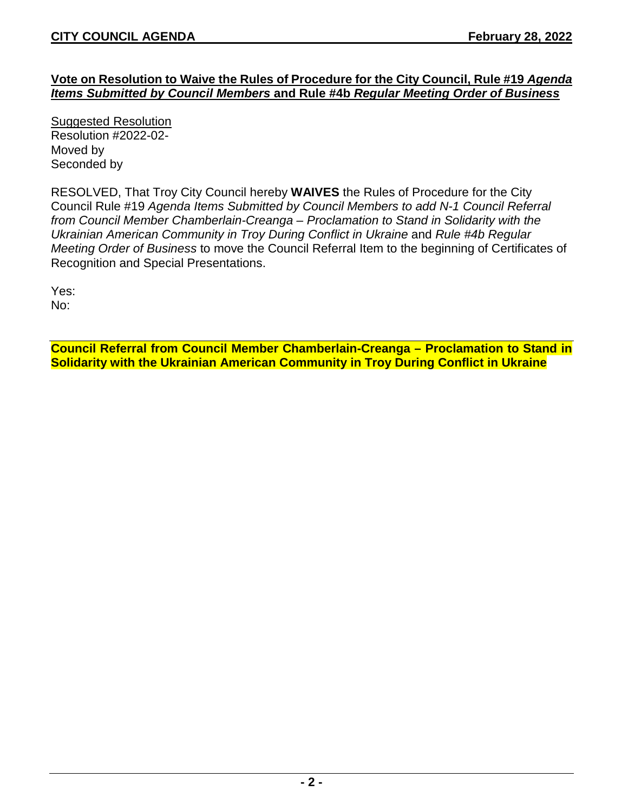## **Vote on Resolution to Waive the Rules of Procedure for the City Council, Rule #19** *Agenda Items Submitted by Council Members* **and Rule #4b** *Regular Meeting Order of Business*

Suggested Resolution Resolution #2022-02- Moved by Seconded by

RESOLVED, That Troy City Council hereby **WAIVES** the Rules of Procedure for the City Council Rule #19 *Agenda Items Submitted by Council Members to add N-1 Council Referral from Council Member Chamberlain-Creanga – Proclamation to Stand in Solidarity with the Ukrainian American Community in Troy During Conflict in Ukraine* and *Rule #4b Regular Meeting Order of Business* to move the Council Referral Item to the beginning of Certificates of Recognition and Special Presentations.

Yes: No:

**Council Referral from Council Member Chamberlain-Creanga – Proclamation to Stand in Solidarity with the Ukrainian American Community in Troy During Conflict in Ukraine**